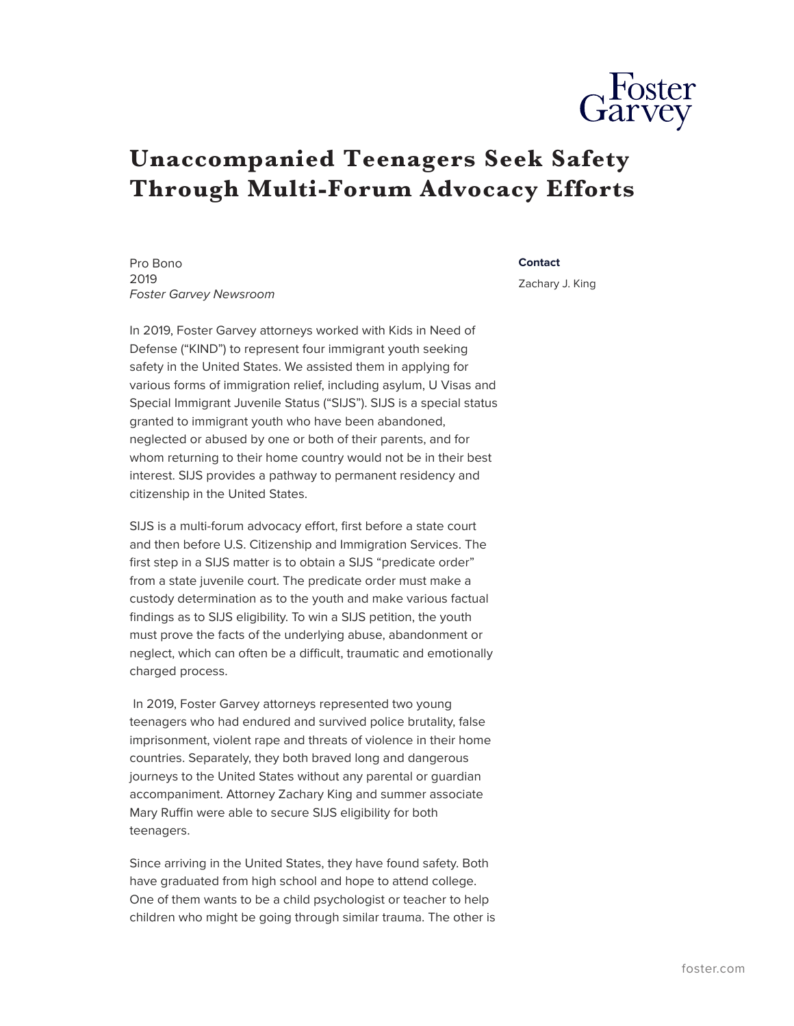

## **Unaccompanied Teenagers Seek Safety Through Multi-Forum Advocacy Efforts**

Pro Bono 2019 *Foster Garvey Newsroom*

In 2019, Foster Garvey attorneys worked with Kids in Need of Defense ("KIND") to represent four immigrant youth seeking safety in the United States. We assisted them in applying for various forms of immigration relief, including asylum, U Visas and Special Immigrant Juvenile Status ("SIJS"). SIJS is a special status granted to immigrant youth who have been abandoned, neglected or abused by one or both of their parents, and for whom returning to their home country would not be in their best interest. SIJS provides a pathway to permanent residency and citizenship in the United States.

SIJS is a multi-forum advocacy effort, first before a state court and then before U.S. Citizenship and Immigration Services. The first step in a SIJS matter is to obtain a SIJS "predicate order" from a state juvenile court. The predicate order must make a custody determination as to the youth and make various factual findings as to SIJS eligibility. To win a SIJS petition, the youth must prove the facts of the underlying abuse, abandonment or neglect, which can often be a difficult, traumatic and emotionally charged process.

 In 2019, Foster Garvey attorneys represented two young teenagers who had endured and survived police brutality, false imprisonment, violent rape and threats of violence in their home countries. Separately, they both braved long and dangerous journeys to the United States without any parental or guardian accompaniment. Attorney Zachary King and summer associate Mary Ruffin were able to secure SIJS eligibility for both teenagers.

Since arriving in the United States, they have found safety. Both have graduated from high school and hope to attend college. One of them wants to be a child psychologist or teacher to help children who might be going through similar trauma. The other is

## **Contact**

Zachary J. King